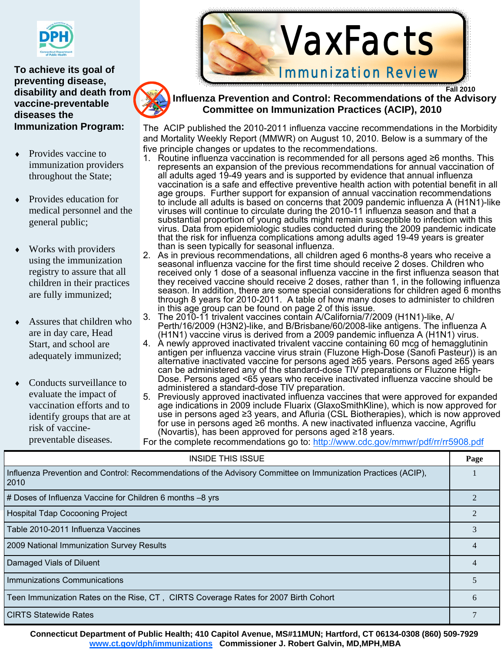

**To achieve its goal of preventing disease, disability and death from vaccine-preventable diseases the Immunization Program:** 

- ♦ Provides vaccine to immunization providers throughout the State;
- Provides education for medical personnel and the general public;
- Works with providers using the immunization registry to assure that all children in their practices are fully immunized;
- Assures that children who are in day care, Head Start, and school are adequately immunized;
- Conducts surveillance to evaluate the impact of vaccination efforts and to identify groups that are at risk of vaccinepreventable diseases.



 **Fall 2010 Influenza Prevention and Control: Recommendations of the Advisory Committee on Immunization Practices (ACIP), 2010** 

The ACIP published the 2010-2011 influenza vaccine recommendations in the Morbidity and Mortality Weekly Report (MMWR) on August 10, 2010. Below is a summary of the five principle changes or updates to the recommendations.

- 1. Routine influenza vaccination is recommended for all persons aged ≥6 months. This represents an expansion of the previous recommendations for annual vaccination of all adults aged 19-49 years and is supported by evidence that annual influenza vaccination is a safe and effective preventive health action with potential benefit in all age groups. Further support for expansion of annual vaccination recommendations to include all adults is based on concerns that 2009 pandemic influenza A (H1N1)-like viruses will continue to circulate during the 2010-11 influenza season and that a substantial proportion of young adults might remain susceptible to infection with this virus. Data from epidemiologic studies conducted during the 2009 pandemic indicate that the risk for influenza complications among adults aged 19-49 years is greater than is seen typically for seasonal influenza.
- 2. As in previous recommendations, all children aged 6 months-8 years who receive a seasonal influenza vaccine for the first time should receive 2 doses. Children who received only 1 dose of a seasonal influenza vaccine in the first influenza season that they received vaccine should receive 2 doses, rather than 1, in the following influenza season. In addition, there are some special considerations for children aged 6 months through 8 years for 2010-2011. A table of how many doses to administer to children in this age group can be found on page 2 of this issue.
- 3. The 2010-11 trivalent vaccines contain A/California/7/2009 (H1N1)-like, A/ Perth/16/2009 (H3N2)-like, and B/Brisbane/60/2008-like antigens. The influenza A (H1N1) vaccine virus is derived from a 2009 pandemic influenza A (H1N1) virus.
- 4. A newly approved inactivated trivalent vaccine containing 60 mcg of hemagglutinin antigen per influenza vaccine virus strain (Fluzone High-Dose (Sanofi Pasteur)) is an alternative inactivated vaccine for persons aged ≥65 years. Persons aged ≥65 years can be administered any of the standard-dose TIV preparations or Fluzone High-Dose. Persons aged <65 years who receive inactivated influenza vaccine should be administered a standard-dose TIV preparation.
- 5. Previously approved inactivated influenza vaccines that were approved for expanded age indications in 2009 include Fluarix (GlaxoSmithKline), which is now approved for use in persons aged ≥3 years, and Afluria (CSL Biotherapies), which is now approved for use in persons aged ≥6 months. A new inactivated influenza vaccine, Agriflu (Novartis), has been approved for persons aged ≥18 years.

For the complete recommendations go to: http://www.cdc.gov/mmwr/pdf/rr/rr5908.pdf

| <b>INSIDE THIS ISSUE</b>                                                                                              | Page |
|-----------------------------------------------------------------------------------------------------------------------|------|
| Influenza Prevention and Control: Recommendations of the Advisory Committee on Immunization Practices (ACIP),<br>2010 |      |
| # Doses of Influenza Vaccine for Children 6 months -8 yrs                                                             |      |
| <b>Hospital Tdap Cocooning Project</b>                                                                                |      |
| Table 2010-2011 Influenza Vaccines                                                                                    |      |
| 2009 National Immunization Survey Results                                                                             | 4    |
| Damaged Vials of Diluent                                                                                              | 4    |
| <b>Immunizations Communications</b>                                                                                   |      |
| Teen Immunization Rates on the Rise, CT, CIRTS Coverage Rates for 2007 Birth Cohort                                   | 6    |
| <b>CIRTS Statewide Rates</b>                                                                                          |      |

**Connecticut Department of Public Health; 410 Capitol Avenue, MS#11MUN; Hartford, CT 06134-0308 (860) 509-7929 www.ct.gov/dph/immunizations Commissioner J. Robert Galvin, MD,MPH,MBA** 

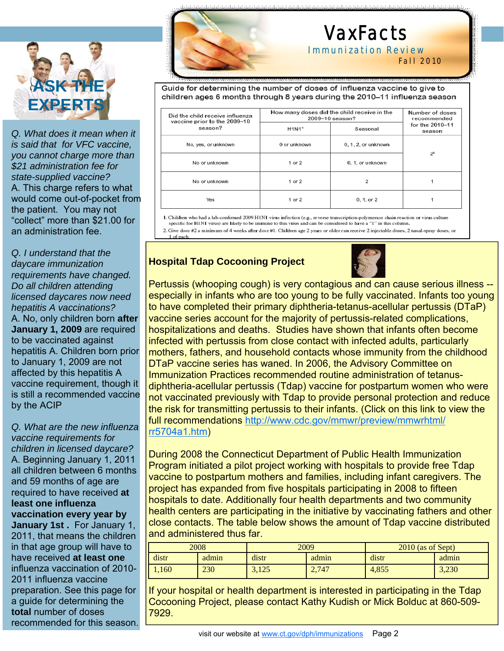

*Q. What does it mean when it is said that for VFC vaccine, you cannot charge more than \$21 administration fee for state-supplied vaccine?*  A. This charge refers to what would come out-of-pocket from the patient. You may not "collect" more than \$21.00 for an administration fee.

*Q. I understand that the daycare immunization requirements have changed. Do all children attending licensed daycares now need hepatitis A vaccinations?*  A. No, only children born **after January 1, 2009** are required to be vaccinated against hepatitis A. Children born prior to January 1, 2009 are not affected by this hepatitis A vaccine requirement, though it is still a recommended vaccine by the ACIP

*Q. What are the new influenza vaccine requirements for children in licensed daycare?*  A. Beginning January 1, 2011 all children between 6 months and 59 months of age are required to have received **at least one influenza vaccination every year by January 1st .** For January 1, 2011, that means the children in that age group will have to have received **at least one**  influenza vaccination of 2010- 2011 influenza vaccine preparation. See this page for a guide for determining the **total** number of doses

recommended for this season.



I

# VaxFacts

Immunization Review Fall 2010

Guide for determining the number of doses of influenza vaccine to give to children ages 6 months through 8 years during the 2010-11 influenza season

| Did the child receive influenza<br>vaccine prior to the 2009-10 | How many doses did the child receive in the<br>2009-10 season? | Number of doses<br>recommended<br>for the 2010-11<br>season |       |  |
|-----------------------------------------------------------------|----------------------------------------------------------------|-------------------------------------------------------------|-------|--|
| season?                                                         | H1N1 <sup>1</sup><br>Seasonal                                  |                                                             |       |  |
| No, yes, or unknown                                             | 0 or unknown<br>0, 1, 2, or unknown                            |                                                             | $2^2$ |  |
| No or unknown                                                   | 1 or $2$                                                       | 0, 1, or unknown                                            |       |  |
| No or unknown                                                   | $1$ or $2$                                                     | 2                                                           |       |  |
| Yes                                                             | $1$ or $2$                                                     | 0, 1, or 2                                                  |       |  |

1. Children who had a lab-confirmed 2009 H1N1 virus infection (e.g., reverse transcription-polymerase chain reaction or virus culture specific for H1N1 virus) are likely to be immune to this virus and can be considered to have a "1" in this column.

2. Give dose #2 a minimum of 4 weeks after dose #1. Children age 2 years or older can receive 2 injectable doses, 2 nasal-spray doses, or 1 of each.

#### **Hospital Tdap Cocooning Project**



Pertussis (whooping cough) is very contagious and can cause serious illness - especially in infants who are too young to be fully vaccinated. Infants too young to have completed their primary diphtheria-tetanus-acellular pertussis (DTaP) vaccine series account for the majority of pertussis-related complications, hospitalizations and deaths. Studies have shown that infants often become infected with pertussis from close contact with infected adults, particularly mothers, fathers, and household contacts whose immunity from the childhood DTaP vaccine series has waned. In 2006, the Advisory Committee on Immunization Practices recommended routine administration of tetanusdiphtheria-acellular pertussis (Tdap) vaccine for postpartum women who were not vaccinated previously with Tdap to provide personal protection and reduce the risk for transmitting pertussis to their infants. (Click on this link to view the full recommendations http://www.cdc.gov/mmwr/preview/mmwrhtml/ rr5704a1.htm)

During 2008 the Connecticut Department of Public Health Immunization Program initiated a pilot project working with hospitals to provide free Tdap vaccine to postpartum mothers and families, including infant caregivers. The project has expanded from five hospitals participating in 2008 to fifteen hospitals to date. Additionally four health departments and two community health centers are participating in the initiative by vaccinating fathers and other close contacts. The table below shows the amount of Tdap vaccine distributed and administered thus far.

| 2008  |       | 2009  |       | $2010$ (as of Sept) |       |  |
|-------|-------|-------|-------|---------------------|-------|--|
| distr | admin | distr | admin | distr               | admin |  |
| 1,160 | 230   | 3,125 | 2,747 | 4,855               | 3,230 |  |

If your hospital or health department is interested in participating in the Tdap Cocooning Project, please contact Kathy Kudish or Mick Bolduc at 860-509- 7929.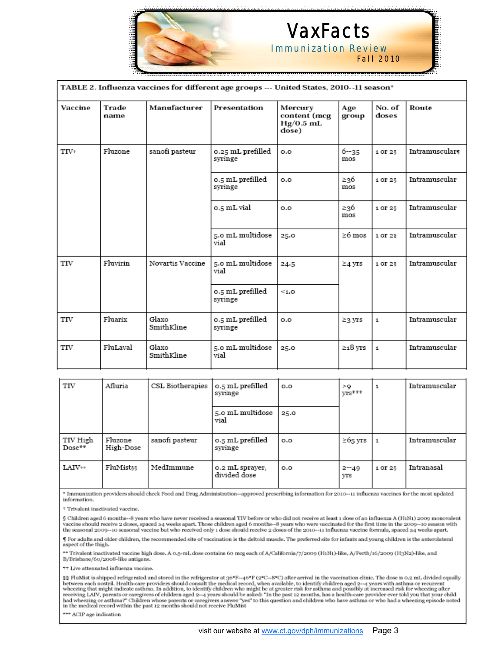

### VaxFacts Immunization Review

Fall 2010

| TABLE 2. Influenza vaccines for different age groups --- United States, 2010--11 season* |               |                     |                              |                                                 |                 |                 |               |
|------------------------------------------------------------------------------------------|---------------|---------------------|------------------------------|-------------------------------------------------|-----------------|-----------------|---------------|
| Vaccine                                                                                  | Trade<br>name | Manufacturer        | Presentation                 | Mercury<br>content (mcg<br>$Hg/0.5$ mL<br>dose) | Age<br>group    | No. of<br>doses | Route         |
| TIV+                                                                                     | Fluzone       | sanofi pasteur      | 0.25 mL prefilled<br>syringe | 0.0                                             | $6 - 35$<br>mos | 1 OF 25         | Intramuscular |
|                                                                                          |               |                     | 0.5 mL prefilled<br>syringe  | 0.0                                             | ≥36<br>mos      | 1 OF 25         | Intramuscular |
|                                                                                          |               |                     | 0.5 mL vial                  | o.o                                             | ≥36<br>mos      | 1 OF 25         | Intramuscular |
|                                                                                          |               |                     | 5.0 mL multidose<br>vial     | 25.0                                            | ≥6 mos          | 1 OF 25         | Intramuscular |
| TIV                                                                                      | Fluvirin      | Novartis Vaccine    | 5.0 mL multidose<br>vial     | 24.5                                            | $\geq$ 4 yrs    | 1 OF 25         | Intramuscular |
|                                                                                          |               |                     | 0.5 mL prefilled<br>syringe  | < 1.0                                           |                 |                 |               |
| TIV                                                                                      | Fluarix       | Glaxo<br>SmithKline | 0.5 mL prefilled<br>syringe  | 0.0                                             | ≥3 yrs          | $\mathbf{1}$    | Intramuscular |
| TIV                                                                                      | FluLaval      | Glaxo<br>SmithKline | 5.0 mL multidose<br>vial     | 25.0                                            | ≥18 утѕ         | $\mathbf 1$     | Intramuscular |

| TIV                  | Afluria              | CSL Biotherapies | 0.5 mL prefilled<br>syringe     | 0.0  | >Q<br>yrs***    |         | Intramuscular |
|----------------------|----------------------|------------------|---------------------------------|------|-----------------|---------|---------------|
|                      |                      |                  | 5.0 mL multidose<br>vial        | 25.0 |                 |         |               |
| TIV High<br>$Dose**$ | Fluzone<br>High-Dose | sanofi pasteur   | 0.5 mL prefilled<br>syringe     | 0.0  | $\geq$ 65 yrs   |         | Intramuscular |
| $LAIV++$             | FluMistss            | MedImmune        | o.2 mL sprayer,<br>divided dose | 0.0  | $2 - 49$<br>yrs | 1 OF 25 | Intranasal    |

\* Immunization providers should check Food and Drug Administration-approved prescribing information for 2010--11 influenza vaccines for the most updated information.

<sup>+</sup> Trivalent inactivated vaccine.

§ Children aged 6 months--8 years who have never received a seasonal TIV before or who did not receive at least 1 dose of an influenza A (H1N1) 2009 monovalent vaccine should receive 2 doses, spaced 24 weeks apart. Those children aged 6 months--8 years who were vaccinated for the first time in the 2009--10 season with<br>the seasonal 2009--10 seasonal vaccine but who received only 1

 $\P$  For adults and older children, the recommended site of vaccination is the deltoid muscle. The preferred site for infants and young children is the anterolateral aspect of the thigh.

\*\* Trivalent inactivated vaccine high dose. A 0.5-mL dose contains 60 mcg each of A/California/7/2009 (H1N1)-like, A/Perth/16/2009 (H3N2)-like, and B/Brisbane/60/2008-like antigens.

++ Live attenuated influenza vaccine.

§§ FluMist is shipped refrigerated and stored in the refrigerator at  $36^{\circ}F - 46^{\circ}F$  ( $2^{\circ}C - 8^{\circ}C$ ) after arrival in the vaccination clinic. The dose is 0.2 mL divided equally between each nostril. Health-care prov had wheezing or asthma?" Children whose parents or caregivers answer "yes" to this question and children who have asthma or who had a wheezing episode noted in the medical record within the past 12 months should not receiv

\*\*\* ACIP age indication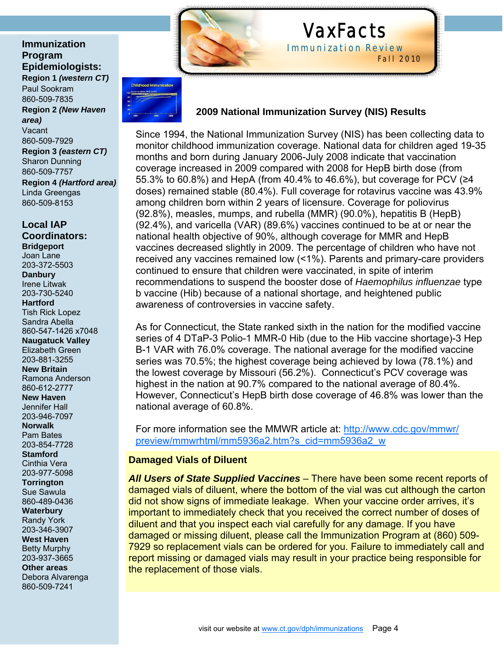**Immunization Program Epidemiologists:** 

**Region 1** *(western CT)*  Paul Sookram 860-509-7835 **Region 2** *(New Haven area)*  Vacant 860-509-7929 **Region 3** *(eastern CT)* Sharon Dunning 860-509-7757 **Region 4** *(Hartford area)* Linda Greengas 860-509-8153

**Local IAP Coordinators: Bridgeport**  Joan Lane 203-372-5503 **Danbury**  Irene Litwak 203-730-5240 **Hartford**  Tish Rick Lopez Sandra Abella 860-547-1426 x7048 **Naugatuck Valley**  Elizabeth Green 203-881-3255

**New Britain**  Ramona Anderson 860-612-2777

**New Haven**  Jennifer Hall 203-946-7097

**Norwalk**  Pam Bates 203-854-7728

**Stamford**  Cinthia Vera 203-977-5098

**Torrington**  Sue Sawula

860-489-0436 **Waterbury**  Randy York

203-346-3907 **West Haven** 

Betty Murphy 203-937-3665

**Other areas**  Debora Alvarenga 860-509-7241



### VaxFacts Immunization Review

Fall 2010

### **2009 National Immunization Survey (NIS) Results**

Since 1994, the National Immunization Survey (NIS) has been collecting data to monitor childhood immunization coverage. National data for children aged 19-35 months and born during January 2006-July 2008 indicate that vaccination coverage increased in 2009 compared with 2008 for HepB birth dose (from 55.3% to 60.8%) and HepA (from 40.4% to 46.6%), but coverage for PCV (≥4 doses) remained stable (80.4%). Full coverage for rotavirus vaccine was 43.9% among children born within 2 years of licensure. Coverage for poliovirus (92.8%), measles, mumps, and rubella (MMR) (90.0%), hepatitis B (HepB) (92.4%), and varicella (VAR) (89.6%) vaccines continued to be at or near the national health objective of 90%, although coverage for MMR and HepB vaccines decreased slightly in 2009. The percentage of children who have not received any vaccines remained low (<1%). Parents and primary-care providers continued to ensure that children were vaccinated, in spite of interim recommendations to suspend the booster dose of *Haemophilus influenzae* type b vaccine (Hib) because of a national shortage, and heightened public awareness of controversies in vaccine safety.

As for Connecticut, the State ranked sixth in the nation for the modified vaccine series of 4 DTaP-3 Polio-1 MMR-0 Hib (due to the Hib vaccine shortage)-3 Hep B-1 VAR with 76.0% coverage. The national average for the modified vaccine series was 70.5%; the highest coverage being achieved by Iowa (78.1%) and the lowest coverage by Missouri (56.2%). Connecticut's PCV coverage was highest in the nation at 90.7% compared to the national average of 80.4%. However, Connecticut's HepB birth dose coverage of 46.8% was lower than the national average of 60.8%.

For more information see the MMWR article at: http://www.cdc.gov/mmwr/ preview/mmwrhtml/mm5936a2.htm?s\_cid=mm5936a2\_w

#### **Damaged Vials of Diluent**

*All Users of State Supplied Vaccines* – There have been some recent reports of damaged vials of diluent, where the bottom of the vial was cut although the carton did not show signs of immediate leakage. When your vaccine order arrives, it's important to immediately check that you received the correct number of doses of diluent and that you inspect each vial carefully for any damage. If you have damaged or missing diluent, please call the Immunization Program at (860) 509- 7929 so replacement vials can be ordered for you. Failure to immediately call and report missing or damaged vials may result in your practice being responsible for the replacement of those vials.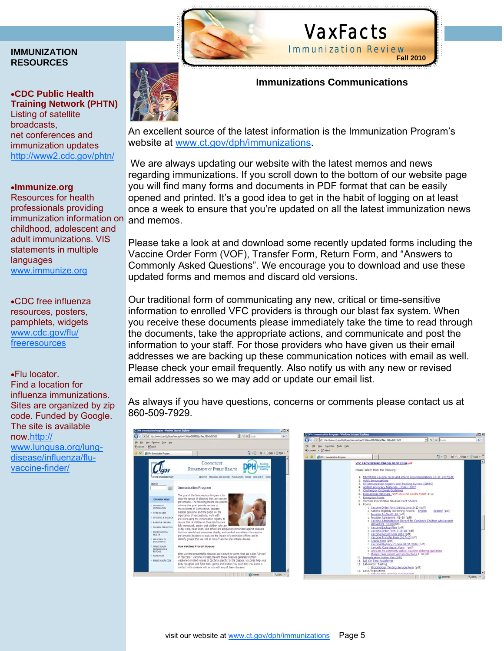#### **IMMUNIZATION RESOURCES**

#### •**CDC Public Health Training Network (PHTN)**  Listing of satellite

**broadcasts** net conferences and immunization updates http://www2.cdc.gov/phtn/

#### •**Immunize.org**

Resources for health professionals providing immunization information on childhood, adolescent and adult immunizations. VIS statements in multiple languages www.immunize.org

•CDC free influenza resources, posters, pamphlets, widgets www.cdc.gov/flu/ **freeresources** 

•Flu locator. Find a location for influenza immunizations. Sites are organized by zip code. Funded by Google. The site is available now.http:// www.lungusa.org/lungdisease/influenza/fluvaccine-finder/



### VaxFacts Immunization Review **Fall 2010**

 **Immunizations Communications** 

An excellent source of the latest information is the Immunization Program's website at www.ct.gov/dph/immunizations.

We are always updating our website with the latest memos and news regarding immunizations. If you scroll down to the bottom of our website page you will find many forms and documents in PDF format that can be easily opened and printed. It's a good idea to get in the habit of logging on at least once a week to ensure that you're updated on all the latest immunization news and memos.

Please take a look at and download some recently updated forms including the Vaccine Order Form (VOF), Transfer Form, Return Form, and "Answers to Commonly Asked Questions". We encourage you to download and use these updated forms and memos and discard old versions.

Our traditional form of communicating any new, critical or time-sensitive information to enrolled VFC providers is through our blast fax system. When you receive these documents please immediately take the time to read through the documents, take the appropriate actions, and communicate and post the information to your staff. For those providers who have given us their email addresses we are backing up these communication notices with email as well. Please check your email frequently. Also notify us with any new or revised email addresses so we may add or update our email list.

As always if you have questions, concerns or comments please contact us at 860-509-7929.



| 25 OPH; Inmunication Program |                                | Q - (3 - mi + + + bage + 3 Tgob +                                                                                                                                                                                                                                                                                                                                                                                                                                                                                                                                                                                                                                                                                                                                                                                                                                                                                                                                                                                                                                                                                                                                                                                                               |       |
|------------------------------|--------------------------------|-------------------------------------------------------------------------------------------------------------------------------------------------------------------------------------------------------------------------------------------------------------------------------------------------------------------------------------------------------------------------------------------------------------------------------------------------------------------------------------------------------------------------------------------------------------------------------------------------------------------------------------------------------------------------------------------------------------------------------------------------------------------------------------------------------------------------------------------------------------------------------------------------------------------------------------------------------------------------------------------------------------------------------------------------------------------------------------------------------------------------------------------------------------------------------------------------------------------------------------------------|-------|
|                              | 7. Exemption Forms<br>9. Forms | VEC PROVIDER RE-ENROLLMENT 2010.pdf<br>Please select from the following:<br>1. MMWR Hb vaccine recall and interim recommendations 12-19-2007(pdf)<br>2. Adult Immunizations<br>3. CT Immunization Registry and Tracking System (CIRTS)<br>4. ASTHO Advocacy Materials - Index: 2007<br>5. Chickenpox Outbreak Guidelines<br>6. Educational Materials NEW CNALTNE ORDER FORM 3-10<br>8. Vaccine Preventable diseases Fact Sheets<br>o Vaccine Order Form Instructions 2-10 (pdf)<br>o Patient Eligibility Screening Record: English<br>Spanish (pdf)<br>o Provider Profile 01-10 (pdf)<br>o Provider Agreement 01-10 (pdf)<br>o Vaccine Administration Record for Combined Children Adolescents<br>and Adults 10-08(pdf)<br>o Vaccine Backup Plan (pdf)<br>o Vaccine Order Form 3-18-10 (pdf)<br>o Vaccine Return Form 2010 (pdf)<br>o Vaccine Transfer Form 3-17-10(pdf)<br>o VAERS Form (pdf)<br>o Vaccine Eligibility Criteria 08/01/2010 (pdf)<br>o Varicella Case Report Form (pdf)<br>· Answers to commonly asked, vaccine ordering questions<br>o Mumps Case report with instructions 2-10.pdf<br>10. Immunization Action Plan (IAP)<br>11. IAP On Time Newsletter<br>12. Laboratory Testing<br>o Microbiology Testing Service Form (pdf) |       |
|                              | 13. Laws/Regulations           | a. Pallage fassurate sting consideration<br><b>CD</b> Internet                                                                                                                                                                                                                                                                                                                                                                                                                                                                                                                                                                                                                                                                                                                                                                                                                                                                                                                                                                                                                                                                                                                                                                                  | 4100% |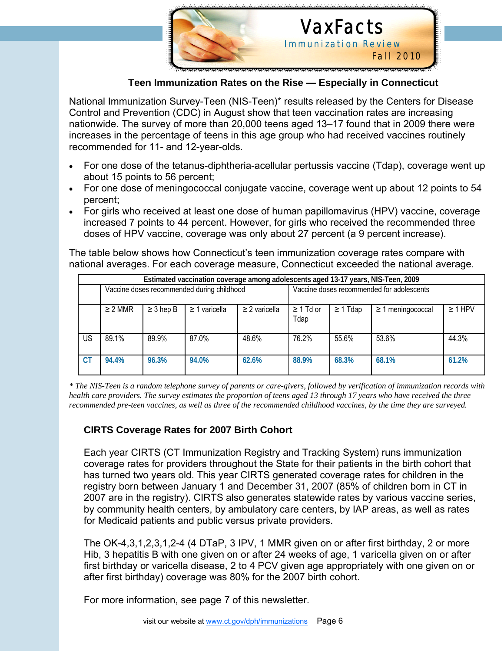

I

## VaxFacts Immunization Review

Fall 2010

#### **Teen Immunization Rates on the Rise — Especially in Connecticut**

National Immunization Survey-Teen (NIS-Teen)\* results released by the Centers for Disease Control and Prevention (CDC) in August show that teen vaccination rates are increasing nationwide. The survey of more than 20,000 teens aged 13–17 found that in 2009 there were increases in the percentage of teens in this age group who had received vaccines routinely recommended for 11- and 12-year-olds.

- For one dose of the tetanus-diphtheria-acellular pertussis vaccine (Tdap), coverage went up about 15 points to 56 percent;
- For one dose of meningococcal conjugate vaccine, coverage went up about 12 points to 54 percent;
- For girls who received at least one dose of human papillomavirus (HPV) vaccine, coverage increased 7 points to 44 percent. However, for girls who received the recommended three doses of HPV vaccine, coverage was only about 27 percent (a 9 percent increase).

The table below shows how Connecticut's teen immunization coverage rates compare with national averages. For each coverage measure, Connecticut exceeded the national average.

| Estimated vaccination coverage among adolescents aged 13-17 years, NIS-Teen, 2009 |              |                |                    |                                           |                        |               |                        |              |
|-----------------------------------------------------------------------------------|--------------|----------------|--------------------|-------------------------------------------|------------------------|---------------|------------------------|--------------|
| Vaccine doses recommended during childhood                                        |              |                |                    | Vaccine doses recommended for adolescents |                        |               |                        |              |
|                                                                                   | $\geq$ 2 MMR | $\geq$ 3 hep B | $\geq$ 1 varicella | $\geq$ 2 varicella                        | $\geq 1$ Td or<br>Tdap | $\geq$ 1 Tdap | $\geq$ 1 meningococcal | $\geq 1$ HPV |
| US                                                                                | 89.1%        | 89.9%          | 87.0%              | 48.6%                                     | 76.2%                  | 55.6%         | 53.6%                  | 44.3%        |
| <b>CT</b>                                                                         | 94.4%        | 96.3%          | 94.0%              | 62.6%                                     | 88.9%                  | 68.3%         | 68.1%                  | 61.2%        |

*\* The NIS-Teen is a random telephone survey of parents or care-givers, followed by verification of immunization records with health care providers. The survey estimates the proportion of teens aged 13 through 17 years who have received the three recommended pre-teen vaccines, as well as three of the recommended childhood vaccines, by the time they are surveyed.*

#### **CIRTS Coverage Rates for 2007 Birth Cohort**

Each year CIRTS (CT Immunization Registry and Tracking System) runs immunization coverage rates for providers throughout the State for their patients in the birth cohort that has turned two years old. This year CIRTS generated coverage rates for children in the registry born between January 1 and December 31, 2007 (85% of children born in CT in 2007 are in the registry). CIRTS also generates statewide rates by various vaccine series, by community health centers, by ambulatory care centers, by IAP areas, as well as rates for Medicaid patients and public versus private providers.

The OK-4,3,1,2,3,1,2-4 (4 DTaP, 3 IPV, 1 MMR given on or after first birthday, 2 or more Hib, 3 hepatitis B with one given on or after 24 weeks of age, 1 varicella given on or after first birthday or varicella disease, 2 to 4 PCV given age appropriately with one given on or after first birthday) coverage was 80% for the 2007 birth cohort.

For more information, see page 7 of this newsletter.